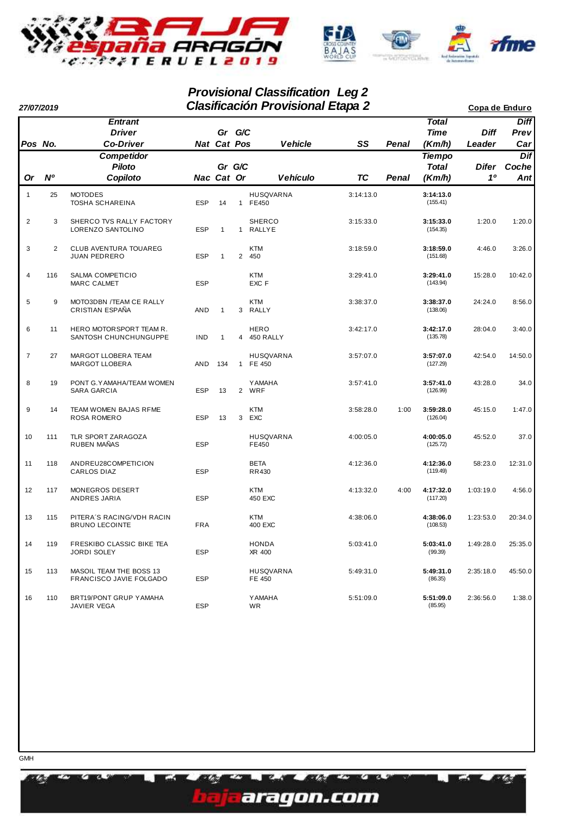

# **Provisional Classification Leg 2**

| 27/07/2019     |                |                                                     | Copa de Enduro |              |        |                              |           |              |                                         |                       |                            |
|----------------|----------------|-----------------------------------------------------|----------------|--------------|--------|------------------------------|-----------|--------------|-----------------------------------------|-----------------------|----------------------------|
| Pos No.        |                | <b>Entrant</b><br><b>Driver</b><br><b>Co-Driver</b> |                | Nat Cat Pos  | Gr G/C | <b>Vehicle</b>               | SS        | Penal        | <b>Total</b><br><b>Time</b><br>(Km/h)   | <b>Diff</b><br>Leader | <b>Diff</b><br>Prev<br>Car |
| Or             | N <sup>o</sup> | Competidor<br><b>Piloto</b><br>Copiloto             |                | Nac Cat Or   | Gr G/C | <b>Vehículo</b>              | <b>TC</b> | <b>Penal</b> | <b>Tiempo</b><br><b>Total</b><br>(Km/h) | Difer<br>10           | Dif<br>Coche<br>Ant        |
| $\mathbf{1}$   | 25             | <b>MOTODES</b><br><b>TOSHA SCHAREINA</b>            | <b>ESP</b>     | 14           |        | <b>HUSQVARNA</b><br>1 FE450  | 3:14:13.0 |              | 3:14:13.0<br>(155.41)                   |                       |                            |
| $\overline{2}$ | 3              | SHERCO TVS RALLY FACTORY<br>LORENZO SANTOLINO       | <b>ESP</b>     | $\mathbf{1}$ |        | <b>SHERCO</b><br>1 RALLYE    | 3:15:33.0 |              | 3:15:33.0<br>(154.35)                   | 1:20.0                | 1:20.0                     |
| 3              | $\overline{2}$ | CLUB AVENTURA TOUAREG<br><b>JUAN PEDRERO</b>        | <b>ESP</b>     | $\mathbf{1}$ |        | <b>KTM</b><br>2 450          | 3:18:59.0 |              | 3:18:59.0<br>(151.68)                   | 4:46.0                | 3:26.0                     |
| 4              | 116            | <b>SALMA COMPETICIO</b><br>MARC CALMET              | <b>ESP</b>     |              |        | <b>KTM</b><br>EXC F          | 3:29:41.0 |              | 3:29:41.0<br>(143.94)                   | 15:28.0               | 10:42.0                    |
| 5              | 9              | MOTO3DBN /TEAM CE RALLY<br>CRISTIAN ESPAÑA          | AND            | $\mathbf{1}$ | 3      | <b>KTM</b><br>RALLY          | 3:38:37.0 |              | 3:38:37.0<br>(138.06)                   | 24:24.0               | 8:56.0                     |
| 6              | 11             | HERO MOTOR SPORT TEAM R.<br>SANTOSH CHUNCHUNGUPPE   | <b>IND</b>     | $\mathbf{1}$ |        | <b>HERO</b><br>4 450 RALLY   | 3:42:17.0 |              | 3:42:17.0<br>(135.78)                   | 28:04.0               | 3:40.0                     |
| $\overline{7}$ | 27             | MARGOT LLOBERA TEAM<br><b>MARGOT LLOBERA</b>        | AND            | 134          |        | <b>HUSQVARNA</b><br>1 FE 450 | 3:57:07.0 |              | 3:57:07.0<br>(127.29)                   | 42:54.0               | 14:50.0                    |
| 8              | 19             | PONT G.YAMAHA/TEAM WOMEN<br>SARA GARCIA             | <b>ESP</b>     | 13           |        | <b>YAMAHA</b><br>2 WRF       | 3:57:41.0 |              | 3:57:41.0<br>(126.99)                   | 43:28.0               | 34.0                       |
| 9              | 14             | TEAM WOMEN BAJAS RFME<br><b>ROSA ROMERO</b>         | <b>ESP</b>     | 13           | 3      | <b>KTM</b><br>EXC            | 3:58:28.0 | 1:00         | 3:59:28.0<br>(126.04)                   | 45:15.0               | 1:47.0                     |
| 10             | 111            | TLR SPORT ZARAGOZA<br>RUBEN MAÑAS                   | <b>ESP</b>     |              |        | <b>HUSQVARNA</b><br>FE450    | 4:00:05.0 |              | 4:00:05.0<br>(125.72)                   | 45:52.0               | 37.0                       |
| 11             | 118            | ANDREU28COMPETICION<br>CARLOS DIAZ                  | <b>ESP</b>     |              |        | <b>BETA</b><br>RR430         | 4:12:36.0 |              | 4:12:36.0<br>(119.49)                   | 58:23.0               | 12:31.0                    |
| 12             | 117            | MONEGROS DESERT<br>ANDRES JARIA                     | <b>ESP</b>     |              |        | <b>KTM</b><br>450 EXC        | 4:13:32.0 | 4:00         | 4:17:32.0<br>(117.20)                   | 1:03:19.0             | 4:56.0                     |
| 13             | 115            | PITERA'S RACING/VDH RACIN<br><b>BRUNO LECOINTE</b>  | <b>FRA</b>     |              |        | <b>KTM</b><br>400 EXC        | 4:38:06.0 |              | 4:38:06.0<br>(108.53)                   | 1:23:53.0             | 20:34.0                    |
| 14             | 119            | FRESKIBO CLASSIC BIKE TEA<br><b>JORDI SOLEY</b>     | <b>ESP</b>     |              |        | <b>HONDA</b><br>XR 400       | 5:03:41.0 |              | 5:03:41.0<br>(99.39)                    | 1:49:28.0             | 25:35.0                    |
| 15             | 113            | MASOIL TEAM THE BOSS 13<br>FRANCISCO JAVIE FOLGADO  | <b>ESP</b>     |              |        | <b>HUSQVARNA</b><br>FE 450   | 5:49:31.0 |              | 5:49:31.0<br>(86.35)                    | 2:35:18.0             | 45:50.0                    |
| 16             | 110            | BRT19/PONT GRUP YAMAHA<br>JAVIER VEGA               | <b>ESP</b>     |              |        | <b>YAMAHA</b><br>WR          | 5:51:09.0 |              | 5:51:09.0<br>(85.95)                    | 2:36:56.0             | 1:38.0                     |

az.

EZ.

my A.

aragon.com

r m

u n **PL-3**  æ.

a Ch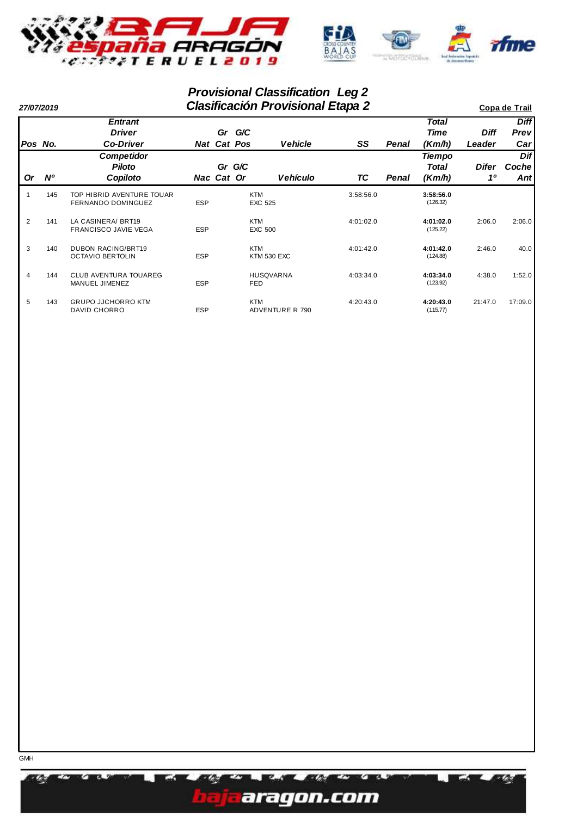

# **Provisional Classification Leg 2**

| 27/07/2019 |           |                                                        |            |                      | Copa de Trail         |                        |           |       |                           |             |                             |
|------------|-----------|--------------------------------------------------------|------------|----------------------|-----------------------|------------------------|-----------|-------|---------------------------|-------------|-----------------------------|
|            |           | <b>Entrant</b><br><b>Driver</b>                        |            | Gr                   | G/C                   |                        |           |       | <b>Total</b><br>Time      | <b>Diff</b> | <b>Diff</b><br><b>Previ</b> |
|            | Pos No.   | <b>Co-Driver</b>                                       |            | <b>Nat Cat Pos</b>   |                       | Vehicle                | SS        | Penal | (Km/h)                    | Leader      | Car <sub>l</sub>            |
| <b>Or</b>  | <b>N°</b> | <b>Competidor</b><br><b>Piloto</b><br>Copiloto         |            | Gr G/C<br>Nac Cat Or |                       | <b>Vehículo</b>        | ТC        | Penal | Tiempo<br>Total<br>(Km/h) | Difer<br>10 | Dif<br>Coche<br>Antl        |
|            | 145       | TOP HIBRID AVENTURE TOUAR<br><b>FERNANDO DOMINGUEZ</b> | <b>ESP</b> |                      | <b>KTM</b><br>EXC 525 |                        | 3:58:56.0 |       | 3:58:56.0<br>(126.32)     |             |                             |
| 2          | 141       | LA CASINERA/ BRT19<br><b>FRANCISCO JAVIE VEGA</b>      | <b>ESP</b> |                      | <b>KTM</b><br>EXC 500 |                        | 4:01:02.0 |       | 4:01:02.0<br>(125.22)     | 2:06.0      | 2:06.0                      |
| 3          | 140       | <b>DUBON RACING/BRT19</b><br><b>OCTAVIO BERTOLIN</b>   | <b>ESP</b> |                      | <b>KTM</b>            | <b>KTM 530 EXC</b>     | 4:01:42.0 |       | 4:01:42.0<br>(124.88)     | 2:46.0      | 40.0                        |
| 4          | 144       | <b>CLUB AVENTURA TOUAREG</b><br>MANUEL JIMENEZ         | <b>ESP</b> |                      | FED                   | <b>HUSQVARNA</b>       | 4:03:34.0 |       | 4:03:34.0<br>(123.92)     | 4:38.0      | 1:52.0                      |
| 5          | 143       | <b>GRUPO JJCHORRO KTM</b><br><b>DAVID CHORRO</b>       | <b>ESP</b> |                      | <b>KTM</b>            | <b>ADVENTURE R 790</b> | 4:20:43.0 |       | 4:20:43.0<br>(115.77)     | 21:47.0     | 17:09.0                     |

æ.

**R**ood

EZ.

WA.

aragon.com

r m

٣n **PL-3**  an.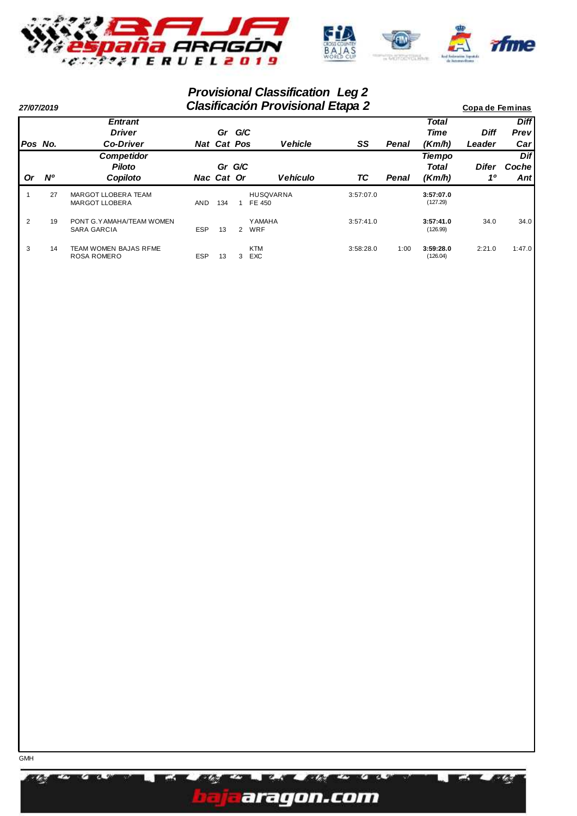

# **Provisional Classification Leg 2**

| 27/07/2019 |           |                                              |            | Copa de Feminas    |              |                            |           |              |                       |             |              |
|------------|-----------|----------------------------------------------|------------|--------------------|--------------|----------------------------|-----------|--------------|-----------------------|-------------|--------------|
|            |           | <b>Entrant</b>                               |            |                    |              |                            |           |              | <b>Total</b>          |             | <b>Diff</b>  |
|            |           | <b>Driver</b>                                |            | Gr G/C             |              |                            |           |              | Time                  | <b>Diff</b> | <b>Previ</b> |
| IPos No.   |           | <b>Co-Driver</b>                             |            | <b>Nat Cat Pos</b> |              | <b>Vehicle</b>             | SS        | Penal        | (Km/h)                | Leader      | Car          |
|            |           | <b>Competidor</b>                            |            |                    |              |                            |           |              | <b>Tiempo</b>         |             | <b>Dif</b>   |
|            |           | <b>Piloto</b>                                |            | Gr G/C             |              |                            |           |              | Total                 | Difer       | Cochel       |
| 0r         | <b>N°</b> | Copiloto                                     |            | Nac Cat Or         |              | <b>Vehículo</b>            | ТC        | <b>Penal</b> | (Km/h)                | 10          | Antl         |
|            | 27        | MARGOT LLOBERA TEAM<br><b>MARGOT LLOBERA</b> | AND        | 134                |              | <b>HUSQVARNA</b><br>FE 450 | 3:57:07.0 |              | 3:57:07.0<br>(127.29) |             |              |
| 2          | 19        | PONT G. YAMAHA/TEAM WOMEN<br>SARA GARCIA     | <b>ESP</b> | 13                 | $\mathbf{2}$ | Y AMAHA<br>WRF             | 3:57:41.0 |              | 3:57:41.0<br>(126.99) | 34.0        | 34.0         |
| 3          | 14        | TEAM WOMEN BAJAS RFME<br><b>ROSA ROMERO</b>  | <b>ESP</b> | 13                 | 3            | <b>KTM</b><br><b>EXC</b>   | 3:58:28.0 | 1:00         | 3:59:28.0<br>(126.04) | 2:21.0      | 1:47.0       |

æ.



**12. 9** 

Z.

**BOS** 

E ZV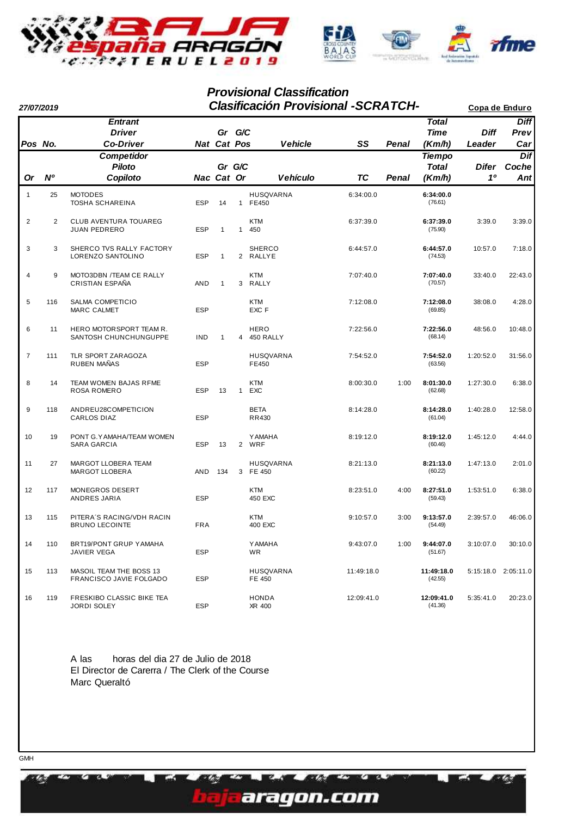

#### **Provisional Classification**

**27/07/2019 Copa de Enduro Clasificación Provisional** *-SCRATCH-*

| Pos No.        |                | <b>Entrant</b><br><b>Driver</b><br><b>Co-Driver</b> |            | <b>Nat Cat Pos</b> | Gr G/C         | <b>Vehicle</b>              | SS         | Penal | <b>Total</b><br><b>Time</b><br>(Km/h)   | Diff<br>Leader | <b>Diff</b><br>Prev<br>Car |
|----------------|----------------|-----------------------------------------------------|------------|--------------------|----------------|-----------------------------|------------|-------|-----------------------------------------|----------------|----------------------------|
| Or             | <b>N°</b>      | Competidor<br><b>Piloto</b><br>Copiloto             |            | Nac Cat Or         | Gr G/C         | <b>Vehículo</b>             | <b>TC</b>  | Penal | <b>Tiempo</b><br><b>Total</b><br>(Km/h) | Difer<br>10    | Dif<br>Coche<br>Ant        |
| $\mathbf{1}$   | 25             | <b>MOTODES</b><br><b>TOSHA SCHAREINA</b>            | <b>ESP</b> | 14                 | $\mathbf{1}$   | <b>HUSQVARNA</b><br>FE450   | 6:34:00.0  |       | 6:34:00.0<br>(76.61)                    |                |                            |
| $\overline{2}$ | $\overline{c}$ | CLUB AVENTURA TOUAREG<br><b>JUAN PEDRERO</b>        | <b>ESP</b> | $\mathbf{1}$       | $\mathbf{1}$   | <b>KTM</b><br>450           | 6:37:39.0  |       | 6:37:39.0<br>(75.90)                    | 3:39.0         | 3:39.0                     |
| 3              | 3              | SHERCO TVS RALLY FACTORY<br>LORENZO SANTOLINO       | <b>ESP</b> | $\mathbf{1}$       | $\overline{2}$ | <b>SHERCO</b><br>RALLYE     | 6:44:57.0  |       | 6:44:57.0<br>(74.53)                    | 10:57.0        | 7:18.0                     |
| $\overline{4}$ | 9              | MOTO3DBN /TEAM CE RALLY<br>CRISTIAN ESPAÑA          | AND        | $\mathbf{1}$       | 3              | <b>KTM</b><br>RALLY         | 7:07:40.0  |       | 7:07:40.0<br>(70.57)                    | 33:40.0        | 22:43.0                    |
| 5              | 116            | <b>SALMA COMPETICIO</b><br><b>MARC CALMET</b>       | <b>ESP</b> |                    |                | <b>KTM</b><br>EXC F         | 7:12:08.0  |       | 7:12:08.0<br>(69.85)                    | 38:08.0        | 4:28.0                     |
| 6              | 11             | HERO MOTORSPORT TEAM R.<br>SANTOSH CHUNCHUNGUPPE    | <b>IND</b> | 1                  | 4              | <b>HERO</b><br>450 RALLY    | 7:22:56.0  |       | 7:22:56.0<br>(68.14)                    | 48:56.0        | 10:48.0                    |
| $\overline{7}$ | 111            | TLR SPORT ZARAGOZA<br><b>RUBEN MAÑAS</b>            | <b>ESP</b> |                    |                | <b>HUSQVARNA</b><br>FE450   | 7:54:52.0  |       | 7:54:52.0<br>(63.56)                    | 1:20:52.0      | 31:56.0                    |
| 8              | 14             | TEAM WOMEN BAJAS RFME<br><b>ROSA ROMERO</b>         | <b>ESP</b> | 13                 | $\mathbf{1}$   | <b>KTM</b><br>EXC           | 8:00:30.0  | 1:00  | 8:01:30.0<br>(62.68)                    | 1:27:30.0      | 6:38.0                     |
| 9              | 118            | ANDREU28COMPETICION<br><b>CARLOS DIAZ</b>           | <b>ESP</b> |                    |                | <b>BETA</b><br><b>RR430</b> | 8:14:28.0  |       | 8:14:28.0<br>(61.04)                    | 1:40:28.0      | 12:58.0                    |
| 10             | 19             | PONT G.YAMAHA/TEAM WOMEN<br>SARA GARCIA             | <b>ESP</b> | 13                 | $\overline{2}$ | <b>YAMAHA</b><br>WRF        | 8:19:12.0  |       | 8:19:12.0<br>(60.46)                    | 1:45:12.0      | 4:44.0                     |
| 11             | 27             | MARGOT LLOBERA TEAM<br><b>MARGOT LLOBERA</b>        | AND        | 134                | 3              | <b>HUSQVARNA</b><br>FE 450  | 8:21:13.0  |       | 8:21:13.0<br>(60.22)                    | 1:47:13.0      | 2:01.0                     |
| 12             | 117            | MONEGROS DESERT<br>ANDRES JARIA                     | <b>ESP</b> |                    |                | <b>KTM</b><br>450 EXC       | 8:23:51.0  | 4:00  | 8:27:51.0<br>(59.43)                    | 1:53:51.0      | 6:38.0                     |
| 13             | 115            | PITERA'S RACING/VDH RACIN<br><b>BRUNO LECOINTE</b>  | <b>FRA</b> |                    |                | <b>KTM</b><br>400 EXC       | 9:10:57.0  | 3:00  | 9:13:57.0<br>(54.49)                    | 2:39:57.0      | 46:06.0                    |
| 14             | 110            | BRT19/PONT GRUP YAMAHA<br>JAVIER VEGA               | <b>ESP</b> |                    |                | <b>YAMAHA</b><br><b>WR</b>  | 9:43:07.0  | 1:00  | 9:44:07.0<br>(51.67)                    | 3:10:07.0      | 30:10.0                    |
| 15             | 113            | MASOIL TEAM THE BOSS 13<br>FRANCISCO JAVIE FOLGADO  | <b>ESP</b> |                    |                | <b>HUSQVARNA</b><br>FE 450  | 11:49:18.0 |       | 11:49:18.0<br>(42.55)                   |                | 5:15:18.0 2:05:11.0        |
| 16             | 119            | FRESKIBO CLASSIC BIKE TEA<br><b>JORDI SOLEY</b>     | <b>ESP</b> |                    |                | <b>HONDA</b><br>XR 400      | 12:09:41.0 |       | 12:09:41.0<br>(41.36)                   | 5:35:41.0      | 20:23.0                    |

A las horas del dia 27 de Julio de 2018 El Director de Carerra / The Clerk of the Course Marc Queraltó

Z.

min

aragon.com

78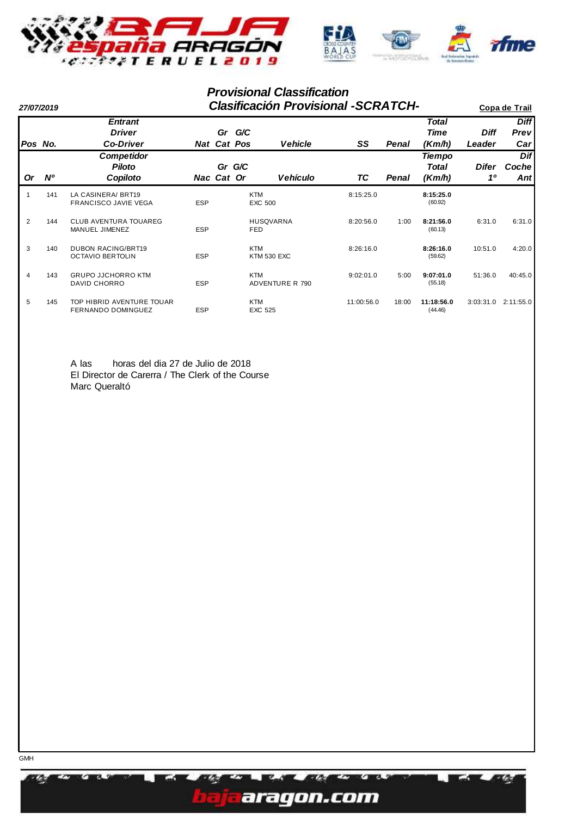

#### **Provisional Classification**

| 27/07/2019 |           |                                                      | <b>Clasificación Provisional -SCRATCH-</b> | Copa de Trail      |                              |                        |            |       |                                  |                         |                      |
|------------|-----------|------------------------------------------------------|--------------------------------------------|--------------------|------------------------------|------------------------|------------|-------|----------------------------------|-------------------------|----------------------|
|            |           | <b>Entrant</b><br><b>Driver</b>                      |                                            |                    | Gr G/C                       |                        |            |       | <b>Total</b><br>Time             | <b>Diff</b>             | <b>Diff</b><br>Prev  |
| Pos No.    |           | <b>Co-Driver</b>                                     |                                            | <b>Nat Cat Pos</b> |                              | <b>Vehicle</b>         | SS         | Penal | (Km/h)                           | Leader                  | Car                  |
| <b>Or</b>  | <b>N°</b> | <b>Competidor</b><br><b>Piloto</b><br>Copiloto       |                                            | Nac Cat Or         | Gr G/C                       | <b>Vehículo</b>        | ТC         | Penal | <b>Tiempo</b><br>Total<br>(Km/h) | Difer<br>1 <sup>0</sup> | Dif<br>Coche<br>Antl |
|            | 141       | LA CASINERA/ BRT19<br><b>FRANCISCO JAVIE VEGA</b>    | <b>ESP</b>                                 |                    | <b>KTM</b><br><b>EXC 500</b> |                        | 8:15:25.0  |       | 8:15:25.0<br>(60.92)             |                         |                      |
| 2          | 144       | <b>CLUB AVENTURA TOUAREG</b><br>MANUEL JIMENEZ       | <b>ESP</b>                                 |                    | <b>FED</b>                   | <b>HUSQVARNA</b>       | 8:20:56.0  | 1:00  | 8:21:56.0<br>(60.13)             | 6:31.0                  | 6:31.0               |
| 3          | 140       | <b>DUBON RACING/BRT19</b><br><b>OCTAVIO BERTOLIN</b> | <b>ESP</b>                                 |                    | <b>KTM</b>                   | <b>KTM 530 EXC</b>     | 8:26:16.0  |       | 8:26:16.0<br>(59.62)             | 10:51.0                 | 4:20.0               |
| 4          | 143       | <b>GRUPO JJCHORRO KTM</b><br>DAVID CHORRO            | <b>ESP</b>                                 |                    | <b>KTM</b>                   | <b>ADVENTURE R 790</b> | 9:02:01.0  | 5:00  | 9:07:01.0<br>(55.18)             | 51:36.0                 | 40:45.0              |
| 5          | 145       | TOP HIBRID AVENTURE TOUAR<br>FERNANDO DOMINGUEZ      | <b>ESP</b>                                 |                    | <b>KTM</b><br>EXC 525        |                        | 11:00:56.0 | 18:00 | 11:18:56.0<br>(44.46)            | 3:03:31.0               | 2:11:55.0            |

A las horas del dia 27 de Julio de 2018 El Director de Carerra / The Clerk of the Course Marc Queraltó



XX.



W.A.

er yer

m **EX**  Ø.

X.

m zw